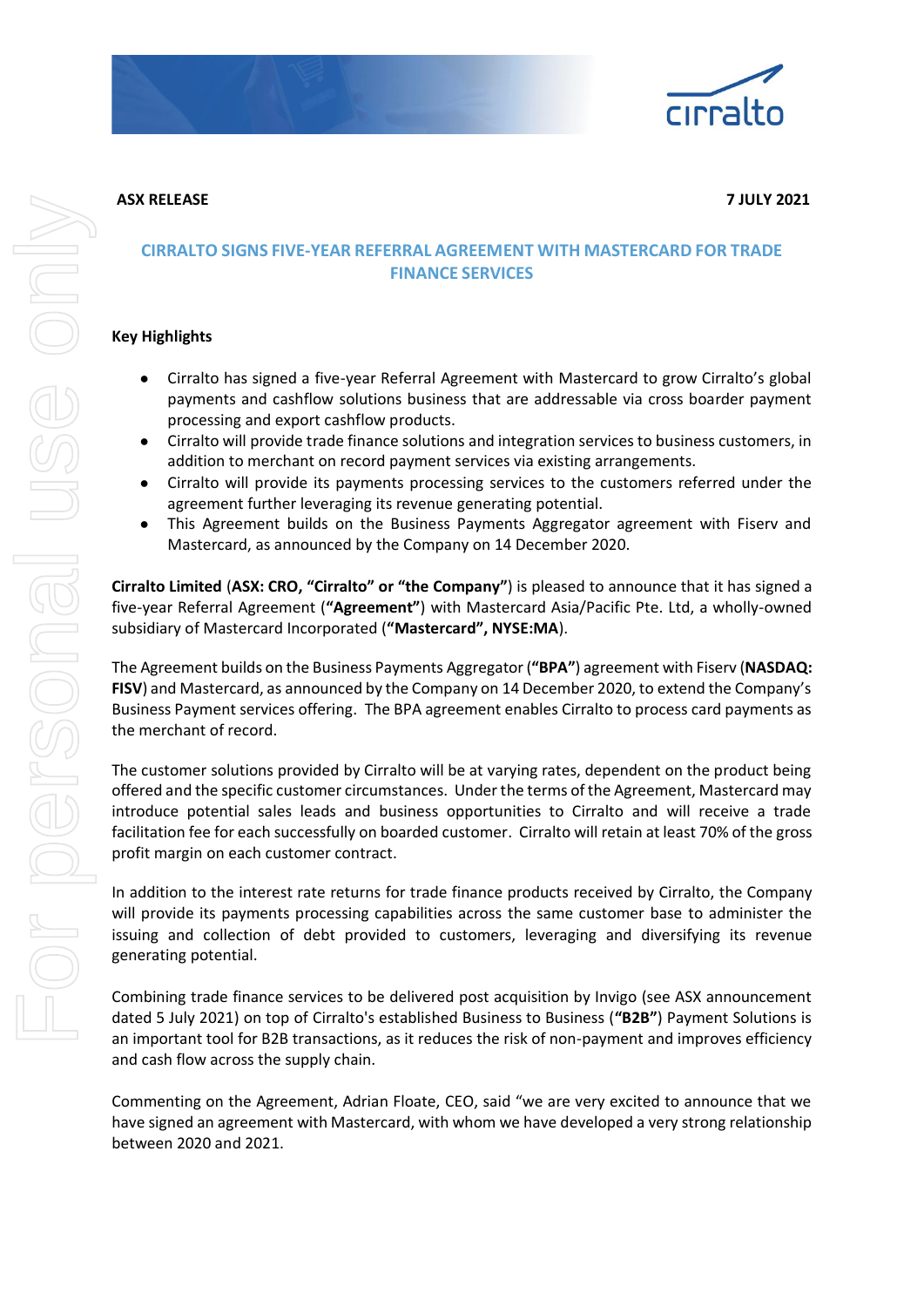



**ASX RELEASE 7 JULY 2021**

## **CIRRALTO SIGNS FIVE-YEAR REFERRAL AGREEMENT WITH MASTERCARD FOR TRADE FINANCE SERVICES**

## **Key Highlights**

- Cirralto has signed a five-year Referral Agreement with Mastercard to grow Cirralto's global payments and cashflow solutions business that are addressable via cross boarder payment processing and export cashflow products.
- Cirralto will provide trade finance solutions and integration services to business customers, in addition to merchant on record payment services via existing arrangements.
- Cirralto will provide its payments processing services to the customers referred under the agreement further leveraging its revenue generating potential.
- This Agreement builds on the Business Payments Aggregator agreement with Fiserv and Mastercard, as announced by the Company on 14 December 2020.

**Cirralto Limited** (**ASX: CRO, "Cirralto" or "the Company"**) is pleased to announce that it has signed a five-year Referral Agreement (**"Agreement"**) with Mastercard Asia/Pacific Pte. Ltd, a wholly-owned subsidiary of Mastercard Incorporated (**"Mastercard", NYSE:MA**).

The Agreement builds on the Business Payments Aggregator (**"BPA"**) agreement with Fiserv (**NASDAQ: FISV**) and Mastercard, as announced by the Company on 14 December 2020, to extend the Company's Business Payment services offering. The BPA agreement enables Cirralto to process card payments as the merchant of record.

The customer solutions provided by Cirralto will be at varying rates, dependent on the product being offered and the specific customer circumstances. Under the terms of the Agreement, Mastercard may introduce potential sales leads and business opportunities to Cirralto and will receive a trade facilitation fee for each successfully on boarded customer. Cirralto will retain at least 70% of the gross profit margin on each customer contract.

In addition to the interest rate returns for trade finance products received by Cirralto, the Company will provide its payments processing capabilities across the same customer base to administer the issuing and collection of debt provided to customers, leveraging and diversifying its revenue generating potential.

Combining trade finance services to be delivered post acquisition by Invigo (see ASX announcement dated 5 July 2021) on top of Cirralto's established Business to Business (**"B2B"**) Payment Solutions is an important tool for B2B transactions, as it reduces the risk of non-payment and improves efficiency and cash flow across the supply chain.

Commenting on the Agreement, Adrian Floate, CEO, said "we are very excited to announce that we have signed an agreement with Mastercard, with whom we have developed a very strong relationship between 2020 and 2021.